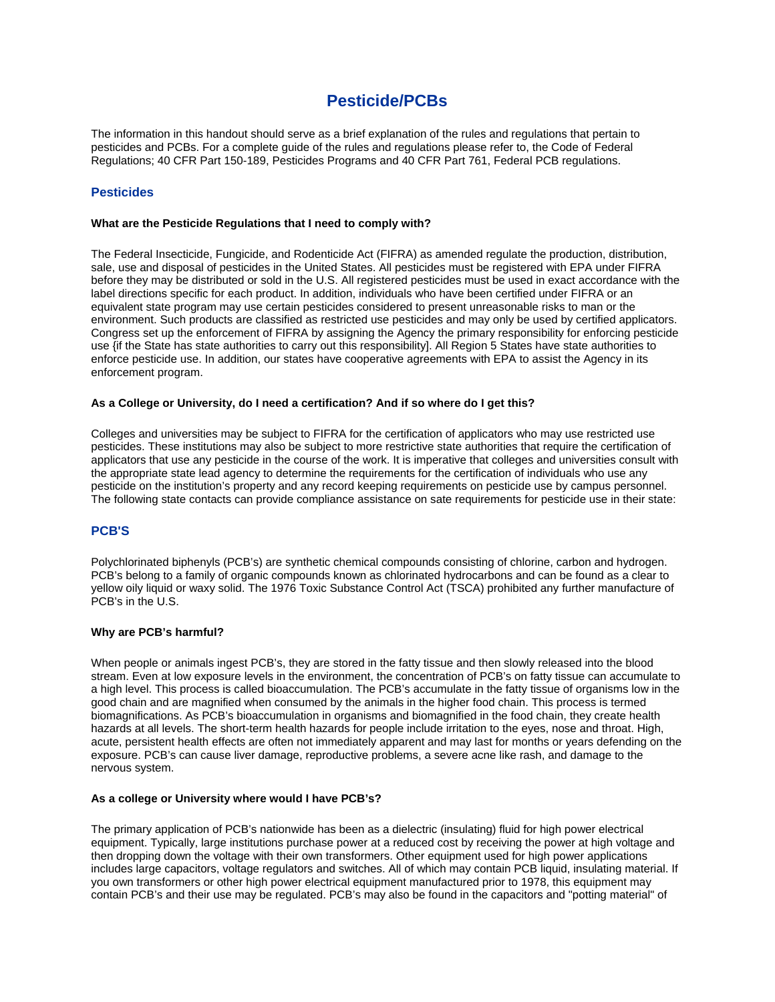# **Pesticide/PCBs**

The information in this handout should serve as a brief explanation of the rules and regulations that pertain to pesticides and PCBs. For a complete guide of the rules and regulations please refer to, the Code of Federal Regulations; 40 CFR Part 150-189, Pesticides Programs and 40 CFR Part 761, Federal PCB regulations.

# **Pesticides**

#### **What are the Pesticide Regulations that I need to comply with?**

The Federal Insecticide, Fungicide, and Rodenticide Act (FIFRA) as amended regulate the production, distribution, sale, use and disposal of pesticides in the United States. All pesticides must be registered with EPA under FIFRA before they may be distributed or sold in the U.S. All registered pesticides must be used in exact accordance with the label directions specific for each product. In addition, individuals who have been certified under FIFRA or an equivalent state program may use certain pesticides considered to present unreasonable risks to man or the environment. Such products are classified as restricted use pesticides and may only be used by certified applicators. Congress set up the enforcement of FIFRA by assigning the Agency the primary responsibility for enforcing pesticide use {if the State has state authorities to carry out this responsibility]. All Region 5 States have state authorities to enforce pesticide use. In addition, our states have cooperative agreements with EPA to assist the Agency in its enforcement program.

## **As a College or University, do I need a certification? And if so where do I get this?**

Colleges and universities may be subject to FIFRA for the certification of applicators who may use restricted use pesticides. These institutions may also be subject to more restrictive state authorities that require the certification of applicators that use any pesticide in the course of the work. It is imperative that colleges and universities consult with the appropriate state lead agency to determine the requirements for the certification of individuals who use any pesticide on the institution's property and any record keeping requirements on pesticide use by campus personnel. The following state contacts can provide compliance assistance on sate requirements for pesticide use in their state:

## **PCB'S**

Polychlorinated biphenyls (PCB's) are synthetic chemical compounds consisting of chlorine, carbon and hydrogen. PCB's belong to a family of organic compounds known as chlorinated hydrocarbons and can be found as a clear to yellow oily liquid or waxy solid. The 1976 Toxic Substance Control Act (TSCA) prohibited any further manufacture of PCB's in the U.S.

## **Why are PCB's harmful?**

When people or animals ingest PCB's, they are stored in the fatty tissue and then slowly released into the blood stream. Even at low exposure levels in the environment, the concentration of PCB's on fatty tissue can accumulate to a high level. This process is called bioaccumulation. The PCB's accumulate in the fatty tissue of organisms low in the good chain and are magnified when consumed by the animals in the higher food chain. This process is termed biomagnifications. As PCB's bioaccumulation in organisms and biomagnified in the food chain, they create health hazards at all levels. The short-term health hazards for people include irritation to the eyes, nose and throat. High, acute, persistent health effects are often not immediately apparent and may last for months or years defending on the exposure. PCB's can cause liver damage, reproductive problems, a severe acne like rash, and damage to the nervous system.

#### **As a college or University where would I have PCB's?**

The primary application of PCB's nationwide has been as a dielectric (insulating) fluid for high power electrical equipment. Typically, large institutions purchase power at a reduced cost by receiving the power at high voltage and then dropping down the voltage with their own transformers. Other equipment used for high power applications includes large capacitors, voltage regulators and switches. All of which may contain PCB liquid, insulating material. If you own transformers or other high power electrical equipment manufactured prior to 1978, this equipment may contain PCB's and their use may be regulated. PCB's may also be found in the capacitors and "potting material" of